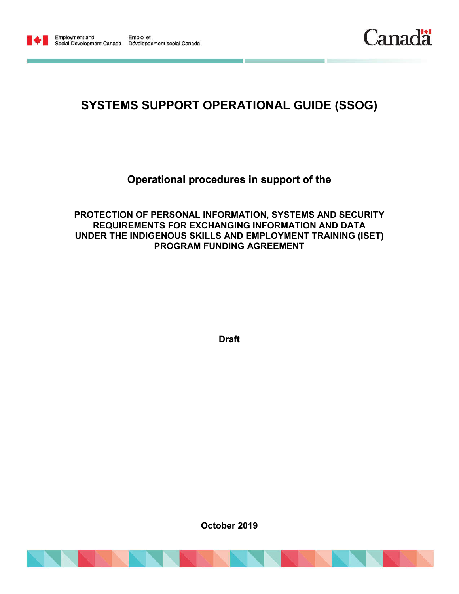



## **SYSTEMS SUPPORT OPERATIONAL GUIDE (SSOG)**

**Operational procedures in support of the**

**PROTECTION OF PERSONAL INFORMATION, SYSTEMS AND SECURITY REQUIREMENTS FOR EXCHANGING INFORMATION AND DATA UNDER THE INDIGENOUS SKILLS AND EMPLOYMENT TRAINING (ISET) PROGRAM FUNDING AGREEMENT**

**Draft**

**October 2019**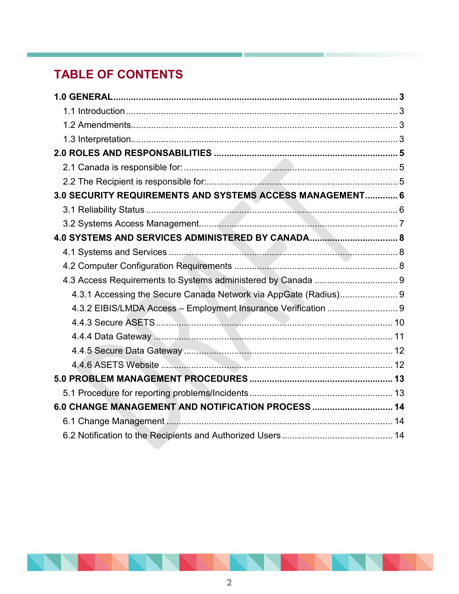# **TABLE OF CONTENTS**

| 3.0 SECURITY REQUIREMENTS AND SYSTEMS ACCESS MANAGEMENT 6        |  |
|------------------------------------------------------------------|--|
|                                                                  |  |
|                                                                  |  |
|                                                                  |  |
|                                                                  |  |
|                                                                  |  |
|                                                                  |  |
| 4.3.1 Accessing the Secure Canada Network via AppGate (Radius) 9 |  |
| 4.3.2 EIBIS/LMDA Access - Employment Insurance Verification  9   |  |
|                                                                  |  |
|                                                                  |  |
|                                                                  |  |
|                                                                  |  |
|                                                                  |  |
|                                                                  |  |
| 6.0 CHANGE MANAGEMENT AND NOTIFICATION PROCESS  14               |  |
|                                                                  |  |
|                                                                  |  |

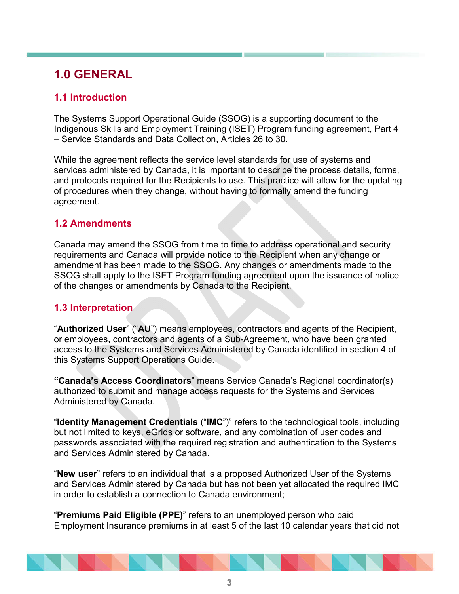## **1.0 GENERAL**

## **1.1 Introduction**

The Systems Support Operational Guide (SSOG) is a supporting document to the Indigenous Skills and Employment Training (ISET) Program funding agreement, Part 4 – Service Standards and Data Collection, Articles 26 to 30.

While the agreement reflects the service level standards for use of systems and services administered by Canada, it is important to describe the process details, forms, and protocols required for the Recipients to use. This practice will allow for the updating of procedures when they change, without having to formally amend the funding agreement.

## **1.2 Amendments**

Canada may amend the SSOG from time to time to address operational and security requirements and Canada will provide notice to the Recipient when any change or amendment has been made to the SSOG. Any changes or amendments made to the SSOG shall apply to the ISET Program funding agreement upon the issuance of notice of the changes or amendments by Canada to the Recipient.

## **1.3 Interpretation**

"**Authorized User**" ("**AU**") means employees, contractors and agents of the Recipient, or employees, contractors and agents of a Sub-Agreement, who have been granted access to the Systems and Services Administered by Canada identified in section 4 of this Systems Support Operations Guide.

**"Canada's Access Coordinators**" means Service Canada's Regional coordinator(s) authorized to submit and manage access requests for the Systems and Services Administered by Canada.

"**Identity Management Credentials** ("**IMC**")" refers to the technological tools, including but not limited to keys, eGrids or software, and any combination of user codes and passwords associated with the required registration and authentication to the Systems and Services Administered by Canada.

"**New user**" refers to an individual that is a proposed Authorized User of the Systems and Services Administered by Canada but has not been yet allocated the required IMC in order to establish a connection to Canada environment;

"**Premiums Paid Eligible (PPE)**" refers to an unemployed person who paid Employment Insurance premiums in at least 5 of the last 10 calendar years that did not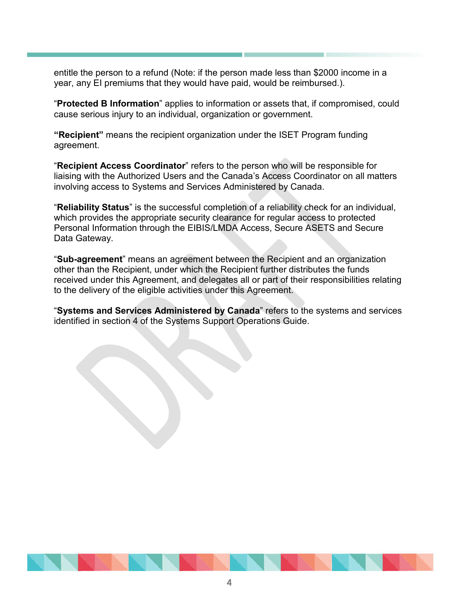entitle the person to a refund (Note: if the person made less than \$2000 income in a year, any EI premiums that they would have paid, would be reimbursed.).

"**Protected B Information**" applies to information or assets that, if compromised, could cause serious injury to an individual, organization or government.

**"Recipient"** means the recipient organization under the ISET Program funding agreement.

"**Recipient Access Coordinator**" refers to the person who will be responsible for liaising with the Authorized Users and the Canada's Access Coordinator on all matters involving access to Systems and Services Administered by Canada.

"**Reliability Status**" is the successful completion of a reliability check for an individual, which provides the appropriate security clearance for regular access to protected Personal Information through the EIBIS/LMDA Access, Secure ASETS and Secure Data Gateway.

"**Sub-agreement**" means an agreement between the Recipient and an organization other than the Recipient, under which the Recipient further distributes the funds received under this Agreement, and delegates all or part of their responsibilities relating to the delivery of the eligible activities under this Agreement.

"**Systems and Services Administered by Canada**" refers to the systems and services identified in section 4 of the Systems Support Operations Guide.

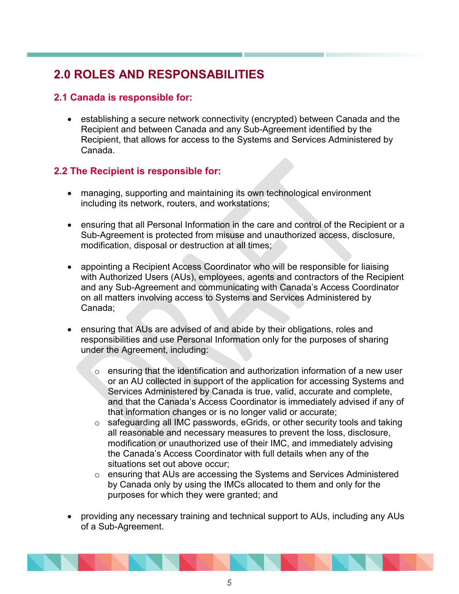## **2.0 ROLES AND RESPONSABILITIES**

### **2.1 Canada is responsible for:**

 establishing a secure network connectivity (encrypted) between Canada and the Recipient and between Canada and any Sub-Agreement identified by the Recipient, that allows for access to the Systems and Services Administered by Canada.

## **2.2 The Recipient is responsible for:**

- managing, supporting and maintaining its own technological environment including its network, routers, and workstations;
- ensuring that all Personal Information in the care and control of the Recipient or a Sub-Agreement is protected from misuse and unauthorized access, disclosure, modification, disposal or destruction at all times;
- appointing a Recipient Access Coordinator who will be responsible for liaising with Authorized Users (AUs), employees, agents and contractors of the Recipient and any Sub-Agreement and communicating with Canada's Access Coordinator on all matters involving access to Systems and Services Administered by Canada;
- ensuring that AUs are advised of and abide by their obligations, roles and responsibilities and use Personal Information only for the purposes of sharing under the Agreement, including:
	- $\circ$  ensuring that the identification and authorization information of a new user or an AU collected in support of the application for accessing Systems and Services Administered by Canada is true, valid, accurate and complete, and that the Canada's Access Coordinator is immediately advised if any of that information changes or is no longer valid or accurate;
	- o safeguarding all IMC passwords, eGrids, or other security tools and taking all reasonable and necessary measures to prevent the loss, disclosure, modification or unauthorized use of their IMC, and immediately advising the Canada's Access Coordinator with full details when any of the situations set out above occur;
	- o ensuring that AUs are accessing the Systems and Services Administered by Canada only by using the IMCs allocated to them and only for the purposes for which they were granted; and
- providing any necessary training and technical support to AUs, including any AUs of a Sub-Agreement.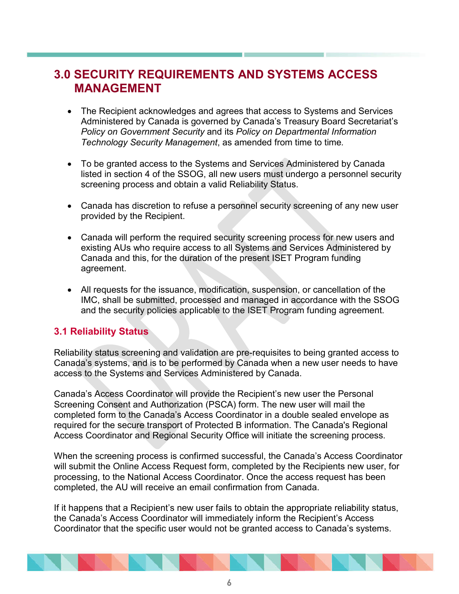## **3.0 SECURITY REQUIREMENTS AND SYSTEMS ACCESS MANAGEMENT**

- The Recipient acknowledges and agrees that access to Systems and Services Administered by Canada is governed by Canada's Treasury Board Secretariat's *Policy on Government Security* and its *Policy on Departmental Information Technology Security Management*, as amended from time to time*.*
- To be granted access to the Systems and Services Administered by Canada listed in section 4 of the SSOG, all new users must undergo a personnel security screening process and obtain a valid Reliability Status.
- Canada has discretion to refuse a personnel security screening of any new user provided by the Recipient.
- Canada will perform the required security screening process for new users and existing AUs who require access to all Systems and Services Administered by Canada and this, for the duration of the present ISET Program funding agreement.
- All requests for the issuance, modification, suspension, or cancellation of the IMC, shall be submitted, processed and managed in accordance with the SSOG and the security policies applicable to the ISET Program funding agreement.

### **3.1 Reliability Status**

Reliability status screening and validation are pre-requisites to being granted access to Canada's systems, and is to be performed by Canada when a new user needs to have access to the Systems and Services Administered by Canada.

Canada's Access Coordinator will provide the Recipient's new user the Personal Screening Consent and Authorization (PSCA) form. The new user will mail the completed form to the Canada's Access Coordinator in a double sealed envelope as required for the secure transport of Protected B information. The Canada's Regional Access Coordinator and Regional Security Office will initiate the screening process.

When the screening process is confirmed successful, the Canada's Access Coordinator will submit the Online Access Request form, completed by the Recipients new user, for processing, to the National Access Coordinator. Once the access request has been completed, the AU will receive an email confirmation from Canada.

If it happens that a Recipient's new user fails to obtain the appropriate reliability status, the Canada's Access Coordinator will immediately inform the Recipient's Access Coordinator that the specific user would not be granted access to Canada's systems.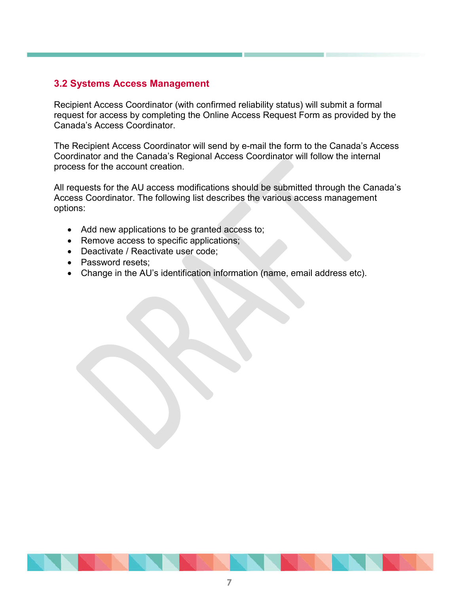## **3.2 Systems Access Management**

Recipient Access Coordinator (with confirmed reliability status) will submit a formal request for access by completing the Online Access Request Form as provided by the Canada's Access Coordinator.

The Recipient Access Coordinator will send by e-mail the form to the Canada's Access Coordinator and the Canada's Regional Access Coordinator will follow the internal process for the account creation.

All requests for the AU access modifications should be submitted through the Canada's Access Coordinator. The following list describes the various access management options:

- Add new applications to be granted access to;
- Remove access to specific applications;
- Deactivate / Reactivate user code;
- Password resets:
- Change in the AU's identification information (name, email address etc).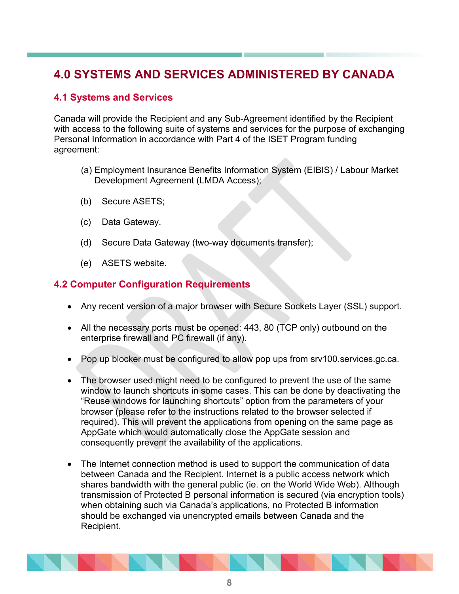## **4.0 SYSTEMS AND SERVICES ADMINISTERED BY CANADA**

## **4.1 Systems and Services**

Canada will provide the Recipient and any Sub-Agreement identified by the Recipient with access to the following suite of systems and services for the purpose of exchanging Personal Information in accordance with Part 4 of the ISET Program funding agreement:

- (a) Employment Insurance Benefits Information System (EIBIS) / Labour Market Development Agreement (LMDA Access);
- (b) Secure ASETS;
- (c) Data Gateway.
- (d) Secure Data Gateway (two-way documents transfer);
- (e) ASETS website.

### **4.2 Computer Configuration Requirements**

- Any recent version of a major browser with Secure Sockets Layer (SSL) support.
- All the necessary ports must be opened: 443, 80 (TCP only) outbound on the enterprise firewall and PC firewall (if any).
- Pop up blocker must be configured to allow pop ups from srv100.services.gc.ca.
- The browser used might need to be configured to prevent the use of the same window to launch shortcuts in some cases. This can be done by deactivating the "Reuse windows for launching shortcuts" option from the parameters of your browser (please refer to the instructions related to the browser selected if required). This will prevent the applications from opening on the same page as AppGate which would automatically close the AppGate session and consequently prevent the availability of the applications.
- The Internet connection method is used to support the communication of data between Canada and the Recipient. Internet is a public access network which shares bandwidth with the general public (ie. on the World Wide Web). Although transmission of Protected B personal information is secured (via encryption tools) when obtaining such via Canada's applications, no Protected B information should be exchanged via unencrypted emails between Canada and the Recipient.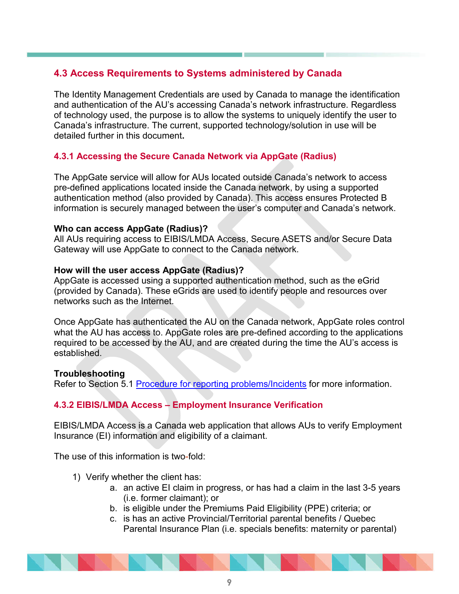## **4.3 Access Requirements to Systems administered by Canada**

The Identity Management Credentials are used by Canada to manage the identification and authentication of the AU's accessing Canada's network infrastructure. Regardless of technology used, the purpose is to allow the systems to uniquely identify the user to Canada's infrastructure. The current, supported technology/solution in use will be detailed further in this document**.**

### **4.3.1 Accessing the Secure Canada Network via AppGate (Radius)**

The AppGate service will allow for AUs located outside Canada's network to access pre-defined applications located inside the Canada network, by using a supported authentication method (also provided by Canada). This access ensures Protected B information is securely managed between the user's computer and Canada's network.

#### **Who can access AppGate (Radius)?**

All AUs requiring access to EIBIS/LMDA Access, Secure ASETS and/or Secure Data Gateway will use AppGate to connect to the Canada network.

#### **How will the user access AppGate (Radius)?**

AppGate is accessed using a supported authentication method, such as the eGrid (provided by Canada). These eGrids are used to identify people and resources over networks such as the Internet.

Once AppGate has authenticated the AU on the Canada network, AppGate roles control what the AU has access to. AppGate roles are pre-defined according to the applications required to be accessed by the AU, and are created during the time the AU's access is established.

#### **Troubleshooting**

Refer to Section 5.1 Procedure for reporting problems/Incidents for more information.

## **4.3.2 EIBIS/LMDA Access – Employment Insurance Verification**

EIBIS/LMDA Access is a Canada web application that allows AUs to verify Employment Insurance (EI) information and eligibility of a claimant.

The use of this information is two-fold:

- 1) Verify whether the client has:
	- a. an active EI claim in progress, or has had a claim in the last 3-5 years (i.e. former claimant); or
	- b. is eligible under the Premiums Paid Eligibility (PPE) criteria; or
	- c. is has an active Provincial/Territorial parental benefits / Quebec Parental Insurance Plan (i.e. specials benefits: maternity or parental)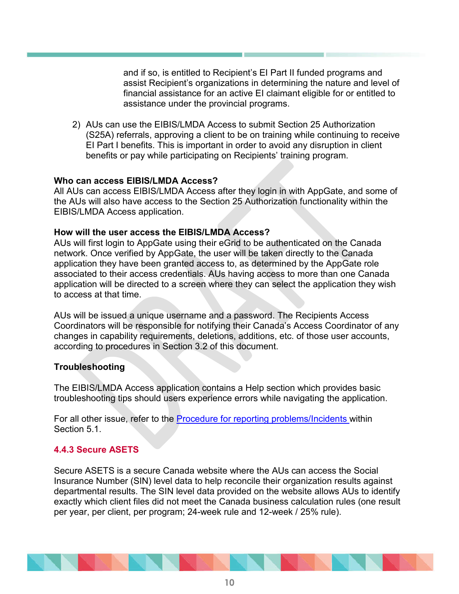and if so, is entitled to Recipient's EI Part II funded programs and assist Recipient's organizations in determining the nature and level of financial assistance for an active EI claimant eligible for or entitled to assistance under the provincial programs.

2) AUs can use the EIBIS/LMDA Access to submit Section 25 Authorization (S25A) referrals, approving a client to be on training while continuing to receive EI Part I benefits. This is important in order to avoid any disruption in client benefits or pay while participating on Recipients' training program.

#### **Who can access EIBIS/LMDA Access?**

All AUs can access EIBIS/LMDA Access after they login in with AppGate, and some of the AUs will also have access to the Section 25 Authorization functionality within the EIBIS/LMDA Access application.

#### **How will the user access the EIBIS/LMDA Access?**

AUs will first login to AppGate using their eGrid to be authenticated on the Canada network. Once verified by AppGate, the user will be taken directly to the Canada application they have been granted access to, as determined by the AppGate role associated to their access credentials. AUs having access to more than one Canada application will be directed to a screen where they can select the application they wish to access at that time.

AUs will be issued a unique username and a password. The Recipients Access Coordinators will be responsible for notifying their Canada's Access Coordinator of any changes in capability requirements, deletions, additions, etc. of those user accounts, according to procedures in Section 3.2 of this document.

#### **Troubleshooting**

The EIBIS/LMDA Access application contains a Help section which provides basic troubleshooting tips should users experience errors while navigating the application.

For all other issue, refer to the Procedure for reporting problems/Incidents within Section 5.1.

#### **4.4.3 Secure ASETS**

Secure ASETS is a secure Canada website where the AUs can access the Social Insurance Number (SIN) level data to help reconcile their organization results against departmental results. The SIN level data provided on the website allows AUs to identify exactly which client files did not meet the Canada business calculation rules (one result per year, per client, per program; 24-week rule and 12-week / 25% rule).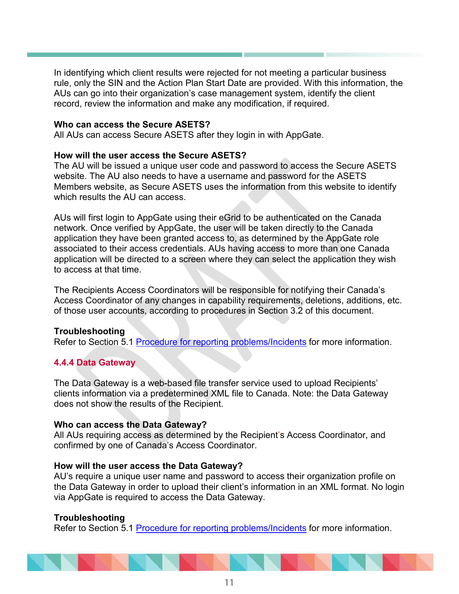In identifying which client results were rejected for not meeting a particular business rule, only the SIN and the Action Plan Start Date are provided. With this information, the AUs can go into their organization's case management system, identify the client record, review the information and make any modification, if required.

#### **Who can access the Secure ASETS?**

All AUs can access Secure ASETS after they login in with AppGate.

#### **How will the user access the Secure ASETS?**

The AU will be issued a unique user code and password to access the Secure ASETS website. The AU also needs to have a username and password for the ASETS Members website, as Secure ASETS uses the information from this website to identify which results the AU can access.

AUs will first login to AppGate using their eGrid to be authenticated on the Canada network. Once verified by AppGate, the user will be taken directly to the Canada application they have been granted access to, as determined by the AppGate role associated to their access credentials. AUs having access to more than one Canada application will be directed to a screen where they can select the application they wish to access at that time.

The Recipients Access Coordinators will be responsible for notifying their Canada's Access Coordinator of any changes in capability requirements, deletions, additions, etc. of those user accounts, according to procedures in Section 3.2 of this document.

#### **Troubleshooting**

Refer to Section 5.1 Procedure for reporting problems/Incidents for more information.

#### **4.4.4 Data Gateway**

The Data Gateway is a web-based file transfer service used to upload Recipients' clients information via a predetermined XML file to Canada. Note: the Data Gateway does not show the results of the Recipient.

#### **Who can access the Data Gateway?**

All AUs requiring access as determined by the Recipient's Access Coordinator, and confirmed by one of Canada's Access Coordinator.

#### **How will the user access the Data Gateway?**

AU's require a unique user name and password to access their organization profile on the Data Gateway in order to upload their client's information in an XML format. No login via AppGate is required to access the Data Gateway.

#### **Troubleshooting**

Refer to Section 5.1 Procedure for reporting problems/Incidents for more information.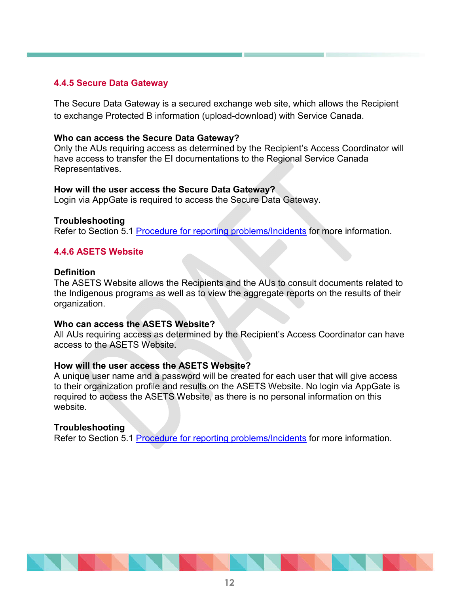#### **4.4.5 Secure Data Gateway**

The Secure Data Gateway is a secured exchange web site, which allows the Recipient to exchange Protected B information (upload-download) with Service Canada.

#### **Who can access the Secure Data Gateway?**

Only the AUs requiring access as determined by the Recipient's Access Coordinator will have access to transfer the EI documentations to the Regional Service Canada Representatives.

#### **How will the user access the Secure Data Gateway?**

Login via AppGate is required to access the Secure Data Gateway.

#### **Troubleshooting**

Refer to Section 5.1 Procedure for reporting problems/Incidents for more information.

#### **4.4.6 ASETS Website**

#### **Definition**

The ASETS Website allows the Recipients and the AUs to consult documents related to the Indigenous programs as well as to view the aggregate reports on the results of their organization.

#### **Who can access the ASETS Website?**

All AUs requiring access as determined by the Recipient's Access Coordinator can have access to the ASETS Website.

#### **How will the user access the ASETS Website?**

A unique user name and a password will be created for each user that will give access to their organization profile and results on the ASETS Website. No login via AppGate is required to access the ASETS Website, as there is no personal information on this website.

#### **Troubleshooting**

Refer to Section 5.1 Procedure for reporting problems/Incidents for more information.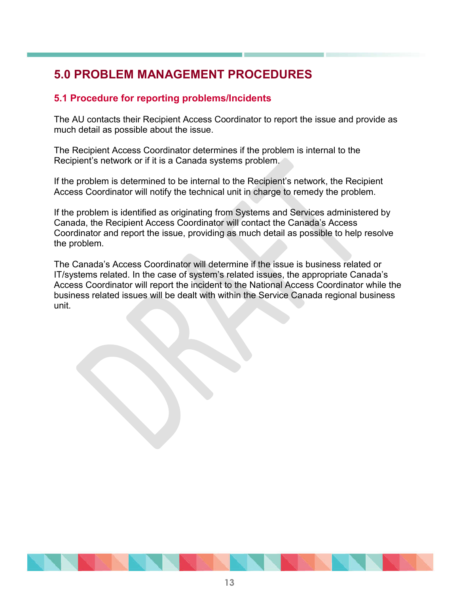## **5.0 PROBLEM MANAGEMENT PROCEDURES**

## **5.1 Procedure for reporting problems/Incidents**

The AU contacts their Recipient Access Coordinator to report the issue and provide as much detail as possible about the issue.

The Recipient Access Coordinator determines if the problem is internal to the Recipient's network or if it is a Canada systems problem.

If the problem is determined to be internal to the Recipient's network, the Recipient Access Coordinator will notify the technical unit in charge to remedy the problem.

If the problem is identified as originating from Systems and Services administered by Canada, the Recipient Access Coordinator will contact the Canada's Access Coordinator and report the issue, providing as much detail as possible to help resolve the problem.

The Canada's Access Coordinator will determine if the issue is business related or IT/systems related. In the case of system's related issues, the appropriate Canada's Access Coordinator will report the incident to the National Access Coordinator while the business related issues will be dealt with within the Service Canada regional business unit.